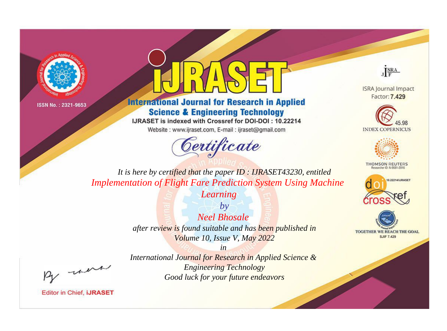



**International Journal for Research in Applied Science & Engineering Technology** 

IJRASET is indexed with Crossref for DOI-DOI: 10.22214

Website: www.ijraset.com, E-mail: ijraset@gmail.com





**ISRA Journal Impact** Factor: 7.429





**THOMSON REUTERS** 



TOGETHER WE REACH THE GOAL **SJIF 7.429** 

*It is here by certified that the paper ID : IJRASET43230, entitled Implementation of Flight Fare Prediction System Using Machine* 

*Learning*

*by Neel Bhosale after review is found suitable and has been published in Volume 10, Issue V, May 2022*

, were

*International Journal for Research in Applied Science & Engineering Technology Good luck for your future endeavors*

*in*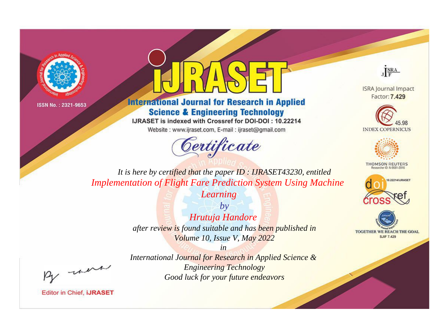



**International Journal for Research in Applied Science & Engineering Technology** 

IJRASET is indexed with Crossref for DOI-DOI: 10.22214

Website: www.ijraset.com, E-mail: ijraset@gmail.com





**ISRA Journal Impact** Factor: 7.429





**THOMSON REUTERS** 



TOGETHER WE REACH THE GOAL **SJIF 7.429** 

*It is here by certified that the paper ID : IJRASET43230, entitled Implementation of Flight Fare Prediction System Using Machine* 

*Learning*

*by Hrutuja Handore after review is found suitable and has been published in Volume 10, Issue V, May 2022*

, un

*International Journal for Research in Applied Science & Engineering Technology Good luck for your future endeavors*

*in*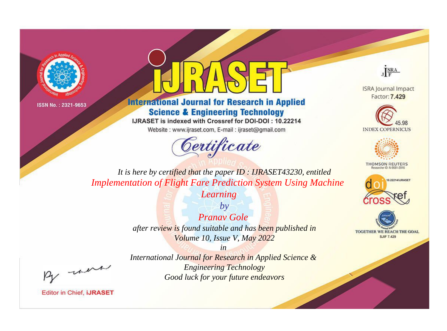



**International Journal for Research in Applied Science & Engineering Technology** 

IJRASET is indexed with Crossref for DOI-DOI: 10.22214

Website: www.ijraset.com, E-mail: ijraset@gmail.com





**ISRA Journal Impact** Factor: 7.429





**THOMSON REUTERS** 



TOGETHER WE REACH THE GOAL **SJIF 7.429** 

*It is here by certified that the paper ID : IJRASET43230, entitled Implementation of Flight Fare Prediction System Using Machine* 

*Learning*

*by Pranav Gole after review is found suitable and has been published in Volume 10, Issue V, May 2022*

, were

*International Journal for Research in Applied Science & Engineering Technology Good luck for your future endeavors*

*in*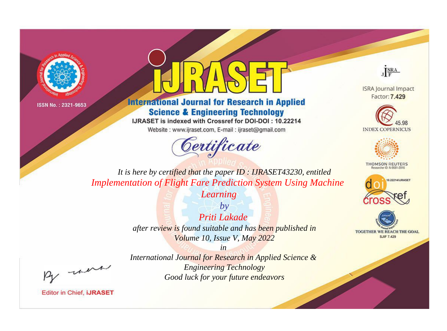



**International Journal for Research in Applied Science & Engineering Technology** 

IJRASET is indexed with Crossref for DOI-DOI: 10.22214

Website: www.ijraset.com, E-mail: ijraset@gmail.com





**ISRA Journal Impact** Factor: 7.429





**THOMSON REUTERS** 



TOGETHER WE REACH THE GOAL **SJIF 7.429** 

*It is here by certified that the paper ID : IJRASET43230, entitled Implementation of Flight Fare Prediction System Using Machine* 

*Learning*

*by Priti Lakade after review is found suitable and has been published in Volume 10, Issue V, May 2022*

, were

*International Journal for Research in Applied Science & Engineering Technology Good luck for your future endeavors*

*in*